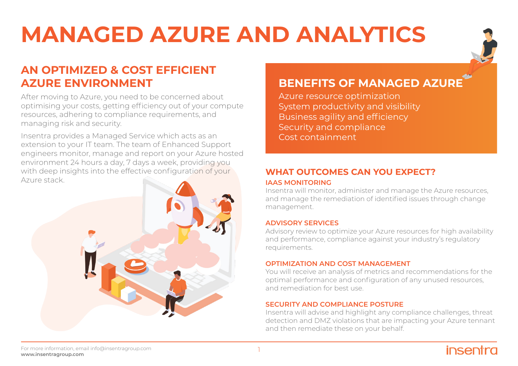# **MANAGED AZURE AND ANALYTICS**



## **AN OPTIMIZED & COST EFFICIENT AZURE ENVIRONMENT**

After moving to Azure, you need to be concerned about optimising your costs, getting efficiency out of your compute resources, adhering to compliance requirements, and managing risk and security.

Insentra provides a Managed Service which acts as an extension to your IT team. The team of Enhanced Support engineers monitor, manage and report on your Azure hosted environment 24 hours a day, 7 days a week, providing you with deep insights into the effective configuration of your Azure stack.



## **BENEFITS OF MANAGED AZURE**

Azure resource optimization System productivity and visibility Business agility and efficiency Security and compliance Cost containment

## **WHAT OUTCOMES CAN YOU EXPECT?**

#### **IAAS MONITORING**

Insentra will monitor, administer and manage the Azure resources, and manage the remediation of identified issues through change management.

#### **ADVISORY SERVICES**

Advisory review to optimize your Azure resources for high availability and performance, compliance against your industry's regulatory requirements.

#### **OPTIMIZATION AND COST MANAGEMENT**

You will receive an analysis of metrics and recommendations for the optimal performance and configuration of any unused resources, and remediation for best use.

#### **SECURITY AND COMPLIANCE POSTURE**

Insentra will advise and highlight any compliance challenges, threat detection and DMZ violations that are impacting your Azure tennant and then remediate these on your behalf.